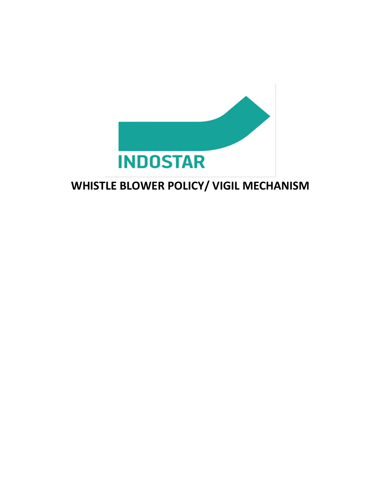

# **WHISTLE BLOWER POLICY/ VIGIL MECHANISM**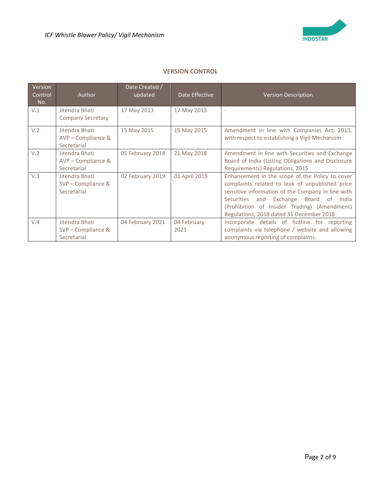

# **VERSION CONTROL**

| Version<br>Control<br>No. | Author                                              | Date Created /<br>updated | Date Effective      | <b>Version Description</b>                                                                                                                                                                                                                                                                          |
|---------------------------|-----------------------------------------------------|---------------------------|---------------------|-----------------------------------------------------------------------------------------------------------------------------------------------------------------------------------------------------------------------------------------------------------------------------------------------------|
| V.1                       | Jitendra Bhati<br><b>Company Secretary</b>          | 17 May 2013               | 17 May 2013         | ٠                                                                                                                                                                                                                                                                                                   |
| V.2                       | Jitendra Bhati<br>AVP - Compliance &<br>Secretarial | 15 May 2015               | 15 May 2015         | Amendment in line with Companies Act, 2013,<br>with respect to establishing a Vigil Mechanism                                                                                                                                                                                                       |
| V.2                       | Jitendra Bhati<br>AVP - Compliance &<br>Secretarial | 05 February 2018          | 21 May 2018         | Amendment in line with Securities and Exchange<br>Board of India (Listing Obligations and Disclosure<br>Requirements) Regulations, 2015                                                                                                                                                             |
| V.3                       | Jitendra Bhati<br>SVP - Compliance &<br>Secretarial | 02 February 2019          | 01 April 2019       | Enhancement in the scope of the Policy to cover<br>complaints related to leak of unpublished price<br>sensitive information of the Company in line with<br>Exchange Board of India<br>Securities<br>and<br>(Prohibition of Insider Trading) (Amendment)<br>Regulations, 2018 dated 31 December 2018 |
| V.4                       | Jitendra Bhati<br>SVP - Compliance &<br>Secretarial | 04 February 2021          | 04 February<br>2021 | Incorporate details of hotline for reporting<br>complaints via telephone / website and allowing<br>anonymous reporting of complaints.                                                                                                                                                               |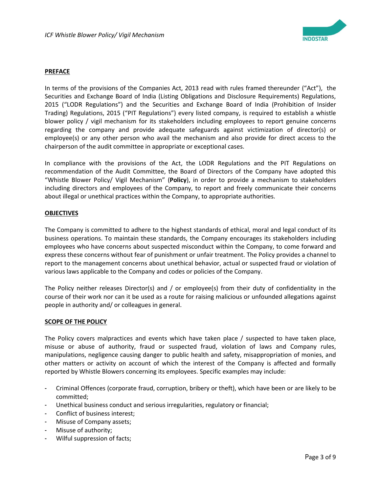

## **PREFACE**

In terms of the provisions of the Companies Act, 2013 read with rules framed thereunder ("Act"), the Securities and Exchange Board of India (Listing Obligations and Disclosure Requirements) Regulations, 2015 ("LODR Regulations") and the Securities and Exchange Board of India (Prohibition of Insider Trading) Regulations, 2015 ("PIT Regulations") every listed company, is required to establish a whistle blower policy / vigil mechanism for its stakeholders including employees to report genuine concerns regarding the company and provide adequate safeguards against victimization of director(s) or employee(s) or any other person who avail the mechanism and also provide for direct access to the chairperson of the audit committee in appropriate or exceptional cases.

In compliance with the provisions of the Act, the LODR Regulations and the PIT Regulations on recommendation of the Audit Committee, the Board of Directors of the Company have adopted this "Whistle Blower Policy/ Vigil Mechanism" (**Policy**), in order to provide a mechanism to stakeholders including directors and employees of the Company, to report and freely communicate their concerns about illegal or unethical practices within the Company, to appropriate authorities.

#### **OBJECTIVES**

The Company is committed to adhere to the highest standards of ethical, moral and legal conduct of its business operations. To maintain these standards, the Company encourages its stakeholders including employees who have concerns about suspected misconduct within the Company, to come forward and express these concerns without fear of punishment or unfair treatment. The Policy provides a channel to report to the management concerns about unethical behavior, actual or suspected fraud or violation of various laws applicable to the Company and codes or policies of the Company.

The Policy neither releases Director(s) and / or employee(s) from their duty of confidentiality in the course of their work nor can it be used as a route for raising malicious or unfounded allegations against people in authority and/ or colleagues in general.

#### **SCOPE OF THE POLICY**

The Policy covers malpractices and events which have taken place / suspected to have taken place, misuse or abuse of authority, fraud or suspected fraud, violation of laws and Company rules, manipulations, negligence causing danger to public health and safety, misappropriation of monies, and other matters or activity on account of which the interest of the Company is affected and formally reported by Whistle Blowers concerning its employees. Specific examples may include:

- Criminal Offences (corporate fraud, corruption, bribery or theft), which have been or are likely to be committed;
- Unethical business conduct and serious irregularities, regulatory or financial;
- Conflict of business interest;
- Misuse of Company assets;
- Misuse of authority;
- Wilful suppression of facts;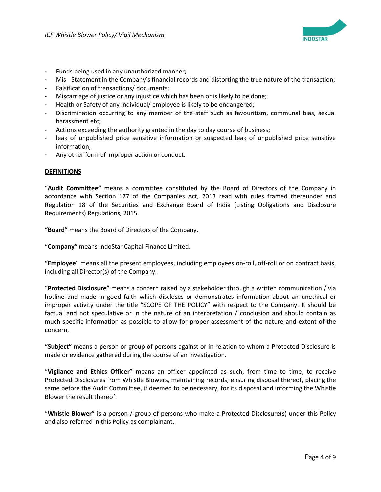

- Funds being used in any unauthorized manner;
- Mis Statement in the Company's financial records and distorting the true nature of the transaction;
- Falsification of transactions/ documents;
- Miscarriage of justice or any injustice which has been or is likely to be done;
- Health or Safety of any individual/ employee is likely to be endangered;
- Discrimination occurring to any member of the staff such as favouritism, communal bias, sexual harassment etc;
- Actions exceeding the authority granted in the day to day course of business;
- leak of unpublished price sensitive information or suspected leak of unpublished price sensitive information;
- Any other form of improper action or conduct.

#### **DEFINITIONS**

"**Audit Committee"** means a committee constituted by the Board of Directors of the Company in accordance with Section 177 of the Companies Act, 2013 read with rules framed thereunder and Regulation 18 of the Securities and Exchange Board of India (Listing Obligations and Disclosure Requirements) Regulations, 2015.

**"Board**" means the Board of Directors of the Company.

"**Company"** means IndoStar Capital Finance Limited.

**"Employee**" means all the present employees, including employees on-roll, off-roll or on contract basis, including all Director(s) of the Company.

"**Protected Disclosure"** means a concern raised by a stakeholder through a written communication / via hotline and made in good faith which discloses or demonstrates information about an unethical or improper activity under the title "SCOPE OF THE POLICY" with respect to the Company. It should be factual and not speculative or in the nature of an interpretation / conclusion and should contain as much specific information as possible to allow for proper assessment of the nature and extent of the concern.

**"Subject"** means a person or group of persons against or in relation to whom a Protected Disclosure is made or evidence gathered during the course of an investigation.

"**Vigilance and Ethics Officer**" means an officer appointed as such, from time to time, to receive Protected Disclosures from Whistle Blowers, maintaining records, ensuring disposal thereof, placing the same before the Audit Committee, if deemed to be necessary, for its disposal and informing the Whistle Blower the result thereof.

"**Whistle Blower"** is a person / group of persons who make a Protected Disclosure(s) under this Policy and also referred in this Policy as complainant.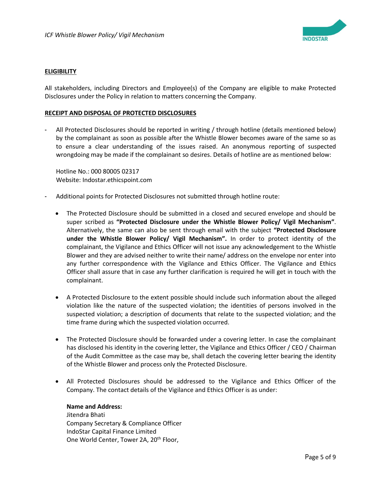

#### **ELIGIBILITY**

All stakeholders, including Directors and Employee(s) of the Company are eligible to make Protected Disclosures under the Policy in relation to matters concerning the Company.

#### **RECEIPT AND DISPOSAL OF PROTECTED DISCLOSURES**

All Protected Disclosures should be reported in writing / through hotline (details mentioned below) by the complainant as soon as possible after the Whistle Blower becomes aware of the same so as to ensure a clear understanding of the issues raised. An anonymous reporting of suspected wrongdoing may be made if the complainant so desires. Details of hotline are as mentioned below:

Hotline No.: 000 80005 02317 Website: Indostar.ethicspoint.com

- Additional points for Protected Disclosures not submitted through hotline route:
	- The Protected Disclosure should be submitted in a closed and secured envelope and should be super scribed as **"Protected Disclosure under the Whistle Blower Policy/ Vigil Mechanism"**. Alternatively, the same can also be sent through email with the subject **"Protected Disclosure under the Whistle Blower Policy/ Vigil Mechanism".** In order to protect identity of the complainant, the Vigilance and Ethics Officer will not issue any acknowledgement to the Whistle Blower and they are advised neither to write their name/ address on the envelope nor enter into any further correspondence with the Vigilance and Ethics Officer. The Vigilance and Ethics Officer shall assure that in case any further clarification is required he will get in touch with the complainant.
	- A Protected Disclosure to the extent possible should include such information about the alleged violation like the nature of the suspected violation; the identities of persons involved in the suspected violation; a description of documents that relate to the suspected violation; and the time frame during which the suspected violation occurred.
	- The Protected Disclosure should be forwarded under a covering letter. In case the complainant has disclosed his identity in the covering letter, the Vigilance and Ethics Officer / CEO / Chairman of the Audit Committee as the case may be, shall detach the covering letter bearing the identity of the Whistle Blower and process only the Protected Disclosure.
	- All Protected Disclosures should be addressed to the Vigilance and Ethics Officer of the Company. The contact details of the Vigilance and Ethics Officer is as under:

**Name and Address:** Jitendra Bhati Company Secretary & Compliance Officer IndoStar Capital Finance Limited One World Center, Tower 2A, 20<sup>th</sup> Floor,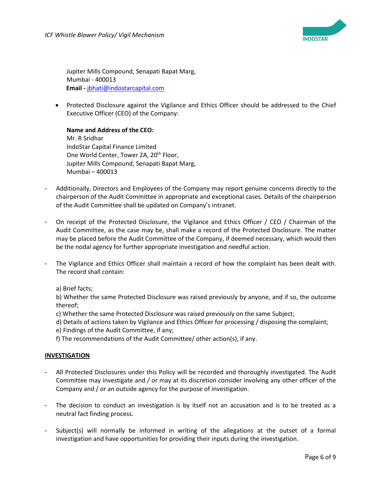

Jupiter Mills Compound, Senapati Bapat Marg, Mumbai - 400013  **Email -** [jbhati@indostarcapital.com](mailto:jbhati@indostarcapital.com)

• Protected Disclosure against the Vigilance and Ethics Officer should be addressed to the Chief Executive Officer (CEO) of the Company:

**Name and Address of the CEO:** Mr. R Sridhar IndoStar Capital Finance Limited One World Center, Tower 2A, 20<sup>th</sup> Floor, Jupiter Mills Compound, Senapati Bapat Marg, Mumbai – 400013

- Additionally, Directors and Employees of the Company may report genuine concerns directly to the chairperson of the Audit Committee in appropriate and exceptional cases. Details of the chairperson of the Audit Committee shall be updated on Company's intranet.
- On receipt of the Protected Disclosure, the Vigilance and Ethics Officer / CEO / Chairman of the Audit Committee, as the case may be, shall make a record of the Protected Disclosure. The matter may be placed before the Audit Committee of the Company, if deemed necessary, which would then be the nodal agency for further appropriate investigation and needful action.
- The Vigilance and Ethics Officer shall maintain a record of how the complaint has been dealt with. The record shall contain:
	- a) Brief facts;

b) Whether the same Protected Disclosure was raised previously by anyone, and if so, the outcome thereof;

- c) Whether the same Protected Disclosure was raised previously on the same Subject;
- d) Details of actions taken by Vigilance and Ethics Officer for processing / disposing the complaint;
- e) Findings of the Audit Committee, if any;
- f) The recommendations of the Audit Committee/ other action(s), if any.

#### **INVESTIGATION**

- All Protected Disclosures under this Policy will be recorded and thoroughly investigated. The Audit Committee may investigate and / or may at its discretion consider involving any other officer of the Company and / or an outside agency for the purpose of investigation.
- The decision to conduct an investigation is by itself not an accusation and is to be treated as a neutral fact finding process.
- Subject(s) will normally be informed in writing of the allegations at the outset of a formal investigation and have opportunities for providing their inputs during the investigation.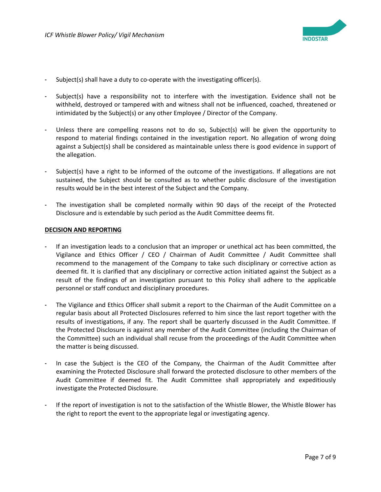

- Subject(s) shall have a duty to co-operate with the investigating officer(s).
- Subject(s) have a responsibility not to interfere with the investigation. Evidence shall not be withheld, destroyed or tampered with and witness shall not be influenced, coached, threatened or intimidated by the Subject(s) or any other Employee / Director of the Company.
- Unless there are compelling reasons not to do so, Subject(s) will be given the opportunity to respond to material findings contained in the investigation report. No allegation of wrong doing against a Subject(s) shall be considered as maintainable unless there is good evidence in support of the allegation.
- Subject(s) have a right to be informed of the outcome of the investigations. If allegations are not sustained, the Subject should be consulted as to whether public disclosure of the investigation results would be in the best interest of the Subject and the Company.
- The investigation shall be completed normally within 90 days of the receipt of the Protected Disclosure and is extendable by such period as the Audit Committee deems fit.

#### **DECISION AND REPORTING**

- If an investigation leads to a conclusion that an improper or unethical act has been committed, the Vigilance and Ethics Officer / CEO / Chairman of Audit Committee / Audit Committee shall recommend to the management of the Company to take such disciplinary or corrective action as deemed fit. It is clarified that any disciplinary or corrective action initiated against the Subject as a result of the findings of an investigation pursuant to this Policy shall adhere to the applicable personnel or staff conduct and disciplinary procedures.
- The Vigilance and Ethics Officer shall submit a report to the Chairman of the Audit Committee on a regular basis about all Protected Disclosures referred to him since the last report together with the results of investigations, if any. The report shall be quarterly discussed in the Audit Committee. If the Protected Disclosure is against any member of the Audit Committee (including the Chairman of the Committee) such an individual shall recuse from the proceedings of the Audit Committee when the matter is being discussed.
- In case the Subject is the CEO of the Company, the Chairman of the Audit Committee after examining the Protected Disclosure shall forward the protected disclosure to other members of the Audit Committee if deemed fit. The Audit Committee shall appropriately and expeditiously investigate the Protected Disclosure.
- If the report of investigation is not to the satisfaction of the Whistle Blower, the Whistle Blower has the right to report the event to the appropriate legal or investigating agency.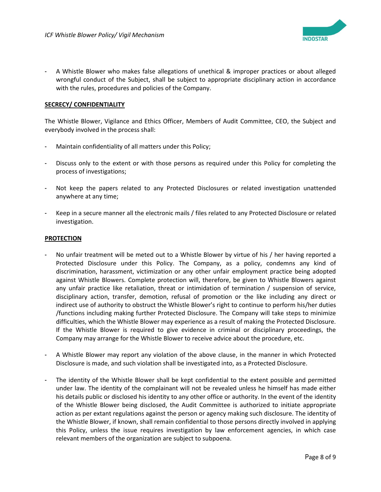

- A Whistle Blower who makes false allegations of unethical & improper practices or about alleged wrongful conduct of the Subject, shall be subject to appropriate disciplinary action in accordance with the rules, procedures and policies of the Company.

## **SECRECY/ CONFIDENTIALITY**

The Whistle Blower, Vigilance and Ethics Officer, Members of Audit Committee, CEO, the Subject and everybody involved in the process shall:

- Maintain confidentiality of all matters under this Policy;
- Discuss only to the extent or with those persons as required under this Policy for completing the process of investigations;
- Not keep the papers related to any Protected Disclosures or related investigation unattended anywhere at any time;
- Keep in a secure manner all the electronic mails / files related to any Protected Disclosure or related investigation.

#### **PROTECTION**

- No unfair treatment will be meted out to a Whistle Blower by virtue of his / her having reported a Protected Disclosure under this Policy. The Company, as a policy, condemns any kind of discrimination, harassment, victimization or any other unfair employment practice being adopted against Whistle Blowers. Complete protection will, therefore, be given to Whistle Blowers against any unfair practice like retaliation, threat or intimidation of termination / suspension of service, disciplinary action, transfer, demotion, refusal of promotion or the like including any direct or indirect use of authority to obstruct the Whistle Blower's right to continue to perform his/her duties /functions including making further Protected Disclosure. The Company will take steps to minimize difficulties, which the Whistle Blower may experience as a result of making the Protected Disclosure. If the Whistle Blower is required to give evidence in criminal or disciplinary proceedings, the Company may arrange for the Whistle Blower to receive advice about the procedure, etc.
- A Whistle Blower may report any violation of the above clause, in the manner in which Protected Disclosure is made, and such violation shall be investigated into, as a Protected Disclosure.
- The identity of the Whistle Blower shall be kept confidential to the extent possible and permitted under law. The identity of the complainant will not be revealed unless he himself has made either his details public or disclosed his identity to any other office or authority. In the event of the identity of the Whistle Blower being disclosed, the Audit Committee is authorized to initiate appropriate action as per extant regulations against the person or agency making such disclosure. The identity of the Whistle Blower, if known, shall remain confidential to those persons directly involved in applying this Policy, unless the issue requires investigation by law enforcement agencies, in which case relevant members of the organization are subject to subpoena.